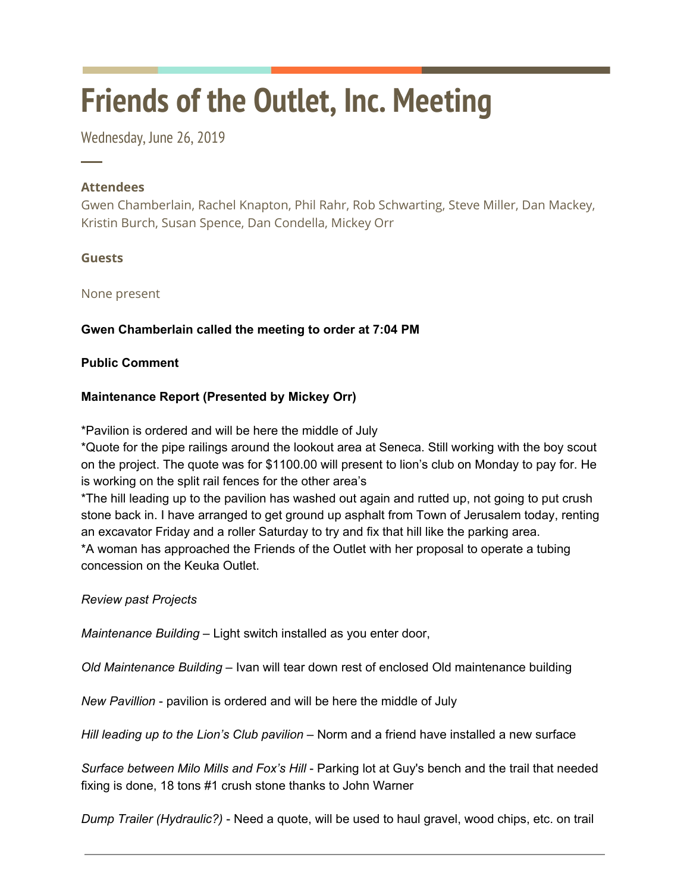# **Friends of the Outlet, Inc. Meeting**

Wednesday, June 26, 2019

### **Attendees**

─

Gwen Chamberlain, Rachel Knapton, Phil Rahr, Rob Schwarting, Steve Miller, Dan Mackey, Kristin Burch, Susan Spence, Dan Condella, Mickey Orr

#### **Guests**

None present

## **Gwen Chamberlain called the meeting to order at 7:04 PM**

#### **Public Comment**

#### **Maintenance Report (Presented by Mickey Orr)**

\*Pavilion is ordered and will be here the middle of July

\*Quote for the pipe railings around the lookout area at Seneca. Still working with the boy scout on the project. The quote was for \$1100.00 will present to lion's club on Monday to pay for. He is working on the split rail fences for the other area's

\*The hill leading up to the pavilion has washed out again and rutted up, not going to put crush stone back in. I have arranged to get ground up asphalt from Town of Jerusalem today, renting an excavator Friday and a roller Saturday to try and fix that hill like the parking area. \*A woman has approached the Friends of the Outlet with her proposal to operate a tubing concession on the Keuka Outlet.

*Review past Projects*

*Maintenance Building* – Light switch installed as you enter door,

*Old Maintenance Building* – Ivan will tear down rest of enclosed Old maintenance building

*New Pavillion* - pavilion is ordered and will be here the middle of July

*Hill leading up to the Lion's Club pavilion* – Norm and a friend have installed a new surface

*Surface between Milo Mills and Fox's Hill* - Parking lot at Guy's bench and the trail that needed fixing is done, 18 tons #1 crush stone thanks to John Warner

*Dump Trailer (Hydraulic?)* - Need a quote, will be used to haul gravel, wood chips, etc. on trail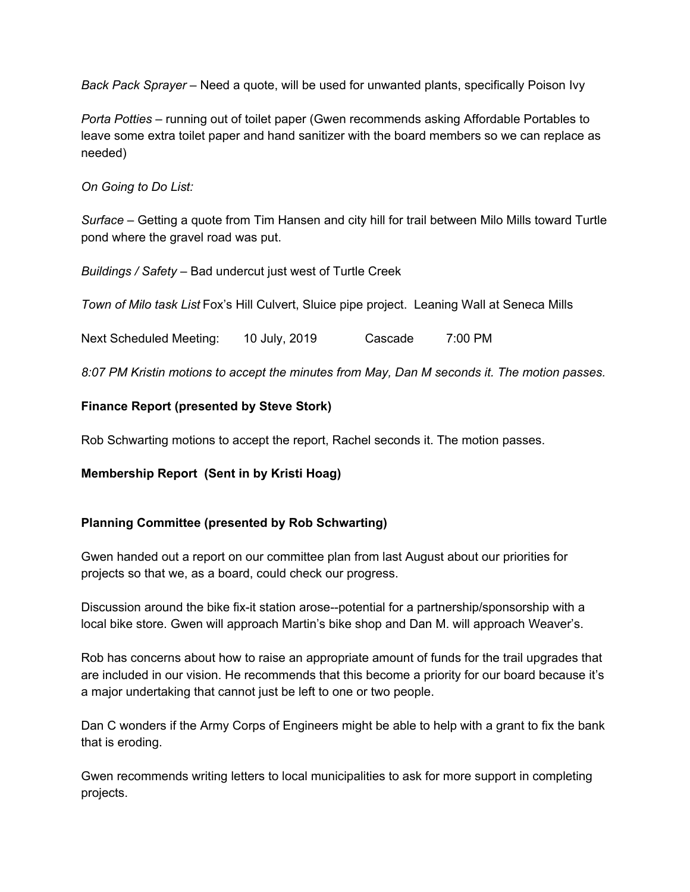*Back Pack Sprayer* – Need a quote, will be used for unwanted plants, specifically Poison Ivy

*Porta Potties* – running out of toilet paper (Gwen recommends asking Affordable Portables to leave some extra toilet paper and hand sanitizer with the board members so we can replace as needed)

*On Going to Do List:*

*Surface* – Getting a quote from Tim Hansen and city hill for trail between Milo Mills toward Turtle pond where the gravel road was put.

*Buildings / Safety* – Bad undercut just west of Turtle Creek

*Town of Milo task List* Fox's Hill Culvert, Sluice pipe project. Leaning Wall at Seneca Mills

Next Scheduled Meeting: 10 July, 2019 Cascade 7:00 PM

*8:07 PM Kristin motions to accept the minutes from May, Dan M seconds it. The motion passes.*

#### **Finance Report (presented by Steve Stork)**

Rob Schwarting motions to accept the report, Rachel seconds it. The motion passes.

#### **Membership Report (Sent in by Kristi Hoag)**

#### **Planning Committee (presented by Rob Schwarting)**

Gwen handed out a report on our committee plan from last August about our priorities for projects so that we, as a board, could check our progress.

Discussion around the bike fix-it station arose--potential for a partnership/sponsorship with a local bike store. Gwen will approach Martin's bike shop and Dan M. will approach Weaver's.

Rob has concerns about how to raise an appropriate amount of funds for the trail upgrades that are included in our vision. He recommends that this become a priority for our board because it's a major undertaking that cannot just be left to one or two people.

Dan C wonders if the Army Corps of Engineers might be able to help with a grant to fix the bank that is eroding.

Gwen recommends writing letters to local municipalities to ask for more support in completing projects.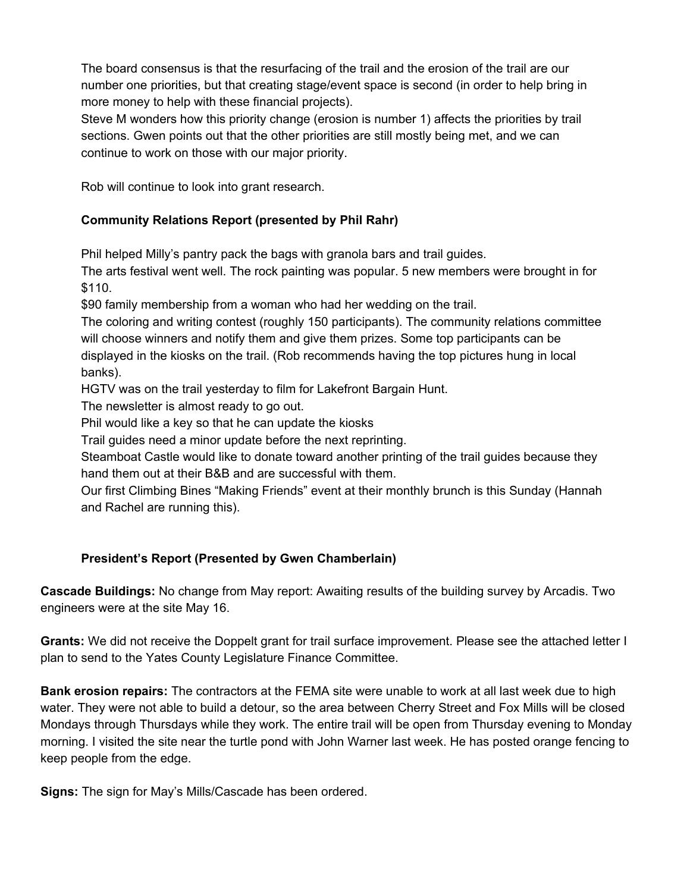The board consensus is that the resurfacing of the trail and the erosion of the trail are our number one priorities, but that creating stage/event space is second (in order to help bring in more money to help with these financial projects).

Steve M wonders how this priority change (erosion is number 1) affects the priorities by trail sections. Gwen points out that the other priorities are still mostly being met, and we can continue to work on those with our major priority.

Rob will continue to look into grant research.

# **Community Relations Report (presented by Phil Rahr)**

Phil helped Milly's pantry pack the bags with granola bars and trail guides.

The arts festival went well. The rock painting was popular. 5 new members were brought in for \$110.

\$90 family membership from a woman who had her wedding on the trail.

The coloring and writing contest (roughly 150 participants). The community relations committee will choose winners and notify them and give them prizes. Some top participants can be displayed in the kiosks on the trail. (Rob recommends having the top pictures hung in local banks).

HGTV was on the trail yesterday to film for Lakefront Bargain Hunt.

The newsletter is almost ready to go out.

Phil would like a key so that he can update the kiosks

Trail guides need a minor update before the next reprinting.

Steamboat Castle would like to donate toward another printing of the trail guides because they hand them out at their B&B and are successful with them.

Our first Climbing Bines "Making Friends" event at their monthly brunch is this Sunday (Hannah and Rachel are running this).

## **President's Report (Presented by Gwen Chamberlain)**

**Cascade Buildings:** No change from May report: Awaiting results of the building survey by Arcadis. Two engineers were at the site May 16.

**Grants:** We did not receive the Doppelt grant for trail surface improvement. Please see the attached letter I plan to send to the Yates County Legislature Finance Committee.

**Bank erosion repairs:** The contractors at the FEMA site were unable to work at all last week due to high water. They were not able to build a detour, so the area between Cherry Street and Fox Mills will be closed Mondays through Thursdays while they work. The entire trail will be open from Thursday evening to Monday morning. I visited the site near the turtle pond with John Warner last week. He has posted orange fencing to keep people from the edge.

**Signs:** The sign for May's Mills/Cascade has been ordered.